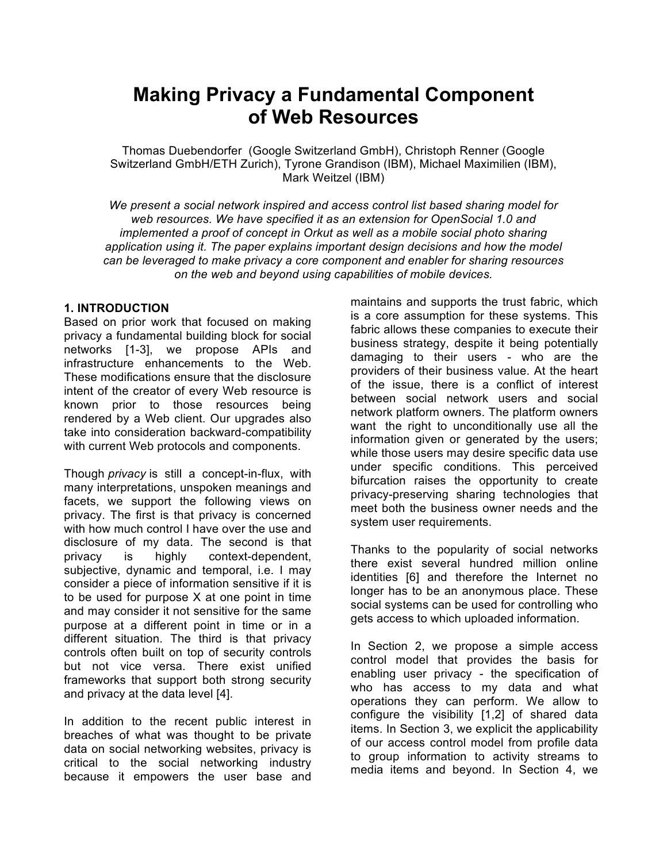# **Making Privacy a Fundamental Component of Web Resources**

Thomas Duebendorfer (Google Switzerland GmbH), Christoph Renner (Google Switzerland GmbH/ETH Zurich), Tyrone Grandison (IBM), Michael Maximilien (IBM), Mark Weitzel (IBM)

*We present a social network inspired and access control list based sharing model for web resources. We have specified it as an extension for OpenSocial 1.0 and implemented a proof of concept in Orkut as well as a mobile social photo sharing application using it. The paper explains important design decisions and how the model can be leveraged to make privacy a core component and enabler for sharing resources on the web and beyond using capabilities of mobile devices.* 

#### **1. INTRODUCTION**

Based on prior work that focused on making privacy a fundamental building block for social networks [1-3], we propose APIs and infrastructure enhancements to the Web. These modifications ensure that the disclosure intent of the creator of every Web resource is known prior to those resources being rendered by a Web client. Our upgrades also take into consideration backward-compatibility with current Web protocols and components.

Though *privacy* is still a concept-in-flux, with many interpretations, unspoken meanings and facets, we support the following views on privacy. The first is that privacy is concerned with how much control I have over the use and disclosure of my data. The second is that privacy is highly context-dependent, subjective, dynamic and temporal, i.e. I may consider a piece of information sensitive if it is to be used for purpose X at one point in time and may consider it not sensitive for the same purpose at a different point in time or in a different situation. The third is that privacy controls often built on top of security controls but not vice versa. There exist unified frameworks that support both strong security and privacy at the data level [4].

In addition to the recent public interest in breaches of what was thought to be private data on social networking websites, privacy is critical to the social networking industry because it empowers the user base and

maintains and supports the trust fabric, which is a core assumption for these systems. This fabric allows these companies to execute their business strategy, despite it being potentially damaging to their users - who are the providers of their business value. At the heart of the issue, there is a conflict of interest between social network users and social network platform owners. The platform owners want the right to unconditionally use all the information given or generated by the users; while those users may desire specific data use under specific conditions. This perceived bifurcation raises the opportunity to create privacy-preserving sharing technologies that meet both the business owner needs and the system user requirements.

Thanks to the popularity of social networks there exist several hundred million online identities [6] and therefore the Internet no longer has to be an anonymous place. These social systems can be used for controlling who gets access to which uploaded information.

In Section 2, we propose a simple access control model that provides the basis for enabling user privacy - the specification of who has access to my data and what operations they can perform. We allow to configure the visibility [1,2] of shared data items. In Section 3, we explicit the applicability of our access control model from profile data to group information to activity streams to media items and beyond. In Section 4, we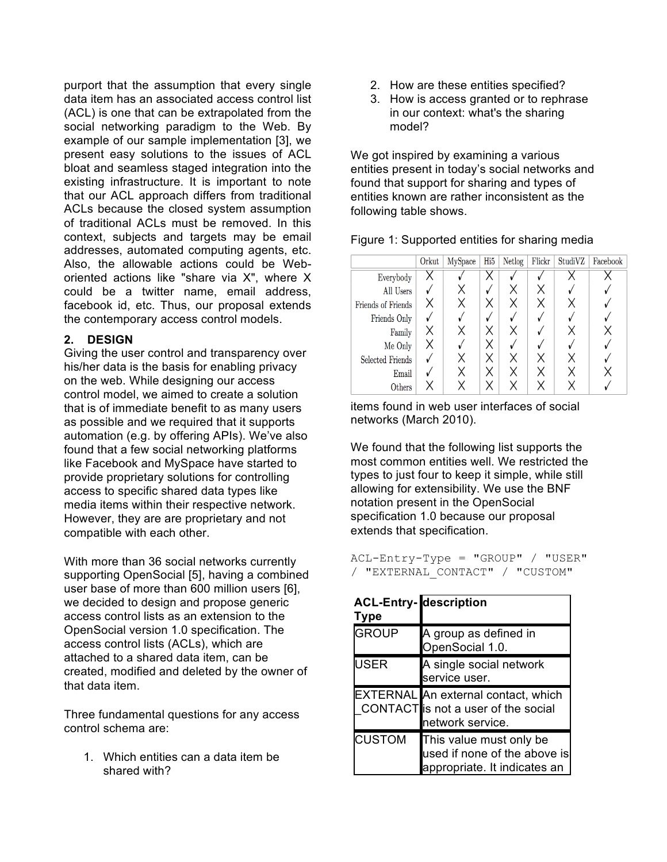purport that the assumption that every single data item has an associated access control list (ACL) is one that can be extrapolated from the social networking paradigm to the Web. By example of our sample implementation [3], we present easy solutions to the issues of ACL bloat and seamless staged integration into the existing infrastructure. It is important to note that our ACL approach differs from traditional ACLs because the closed system assumption of traditional ACLs must be removed. In this context, subjects and targets may be email addresses, automated computing agents, etc. Also, the allowable actions could be Weboriented actions like "share via X", where X could be a twitter name, email address, facebook id, etc. Thus, our proposal extends the contemporary access control models.

### **2. DESIGN**

Giving the user control and transparency over his/her data is the basis for enabling privacy on the web. While designing our access control model, we aimed to create a solution that is of immediate benefit to as many users as possible and we required that it supports automation (e.g. by offering APIs). We've also found that a few social networking platforms like Facebook and MySpace have started to provide proprietary solutions for controlling access to specific shared data types like media items within their respective network. However, they are are proprietary and not compatible with each other.

With more than 36 social networks currently supporting OpenSocial [5], having a combined user base of more than 600 million users [6], we decided to design and propose generic access control lists as an extension to the OpenSocial version 1.0 specification. The access control lists (ACLs), which are attached to a shared data item, can be created, modified and deleted by the owner of that data item.

Three fundamental questions for any access control schema are:

1. Which entities can a data item be shared with?

- 2. How are these entities specified?
- 3. How is access granted or to rephrase in our context: what's the sharing model?

We got inspired by examining a various entities present in today's social networks and found that support for sharing and types of entities known are rather inconsistent as the following table shows.

Figure 1: Supported entities for sharing media

|                         | Orkut | MySpace | Hi <sub>5</sub> | Netlog | Flickr | StudiVZ | Facebook |
|-------------------------|-------|---------|-----------------|--------|--------|---------|----------|
| Everybody               |       |         |                 |        |        |         |          |
| All Users               |       |         |                 |        |        |         |          |
| Friends of Friends      |       |         |                 |        |        |         |          |
| Friends Only            |       |         |                 |        |        |         |          |
| Family                  |       |         |                 |        |        |         |          |
| Me Only                 |       |         |                 |        |        |         |          |
| <b>Selected Friends</b> |       |         |                 |        |        |         |          |
| Email                   |       |         |                 |        |        |         |          |
| Others                  |       |         |                 |        |        |         |          |

items found in web user interfaces of social networks (March 2010).

We found that the following list supports the most common entities well. We restricted the types to just four to keep it simple, while still allowing for extensibility. We use the BNF notation present in the OpenSocial specification 1.0 because our proposal extends that specification.

ACL-Entry-Type = "GROUP" / "USER" / "EXTERNAL\_CONTACT" / "CUSTOM"

| <b>ACL-Entry-</b><br><b>Type</b> | description                                                                                    |
|----------------------------------|------------------------------------------------------------------------------------------------|
| <b>GROUP</b>                     | A group as defined in<br>OpenSocial 1.0.                                                       |
| USER                             | A single social network<br>service user.                                                       |
|                                  | EXTERNAL An external contact, which<br>CONTACT is not a user of the social<br>network service. |
| <b>CUSTOM</b>                    | This value must only be<br>used if none of the above is<br>appropriate. It indicates an        |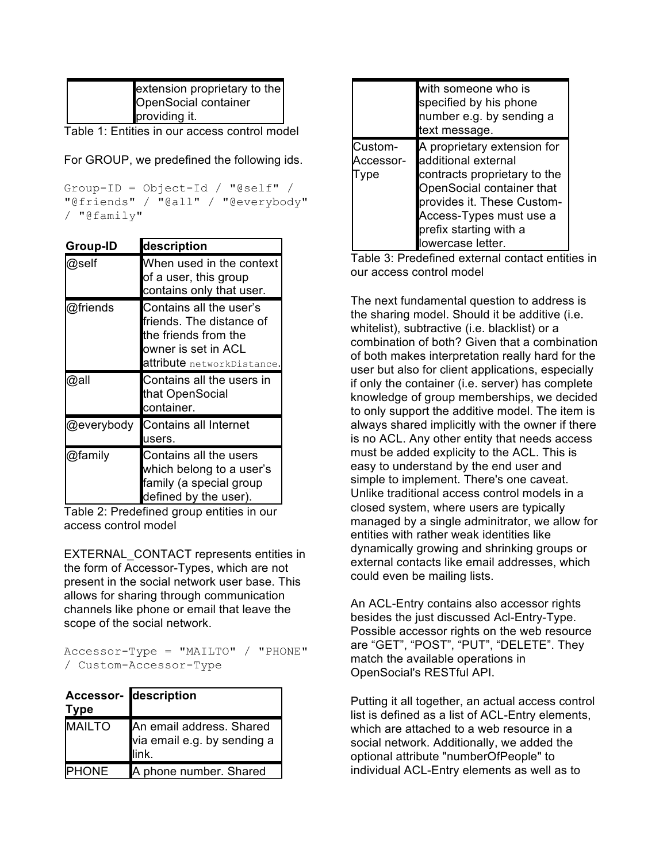| extension proprietary to the |
|------------------------------|
| <b>OpenSocial container</b>  |
| providing it.                |

Table 1: Entities in our access control model

For GROUP, we predefined the following ids.

Group-ID = Object-Id / "@self" / "@friends" / "@all" / "@everybody" / "@family"

| Group-ID   | description                                                                                                                      |  |  |
|------------|----------------------------------------------------------------------------------------------------------------------------------|--|--|
| @self      | When used in the context<br>of a user, this group<br>contains only that user.                                                    |  |  |
| @friends   | Contains all the user's<br>friends. The distance of<br>the friends from the<br>owner is set in ACL<br>attribute networkDistance. |  |  |
| @all       | Contains all the users in                                                                                                        |  |  |
|            | that OpenSocial<br>container.                                                                                                    |  |  |
| @everybody | <b>Contains all Internet</b><br>users.                                                                                           |  |  |

Table 2: Predefined group entities in our access control model

EXTERNAL\_CONTACT represents entities in the form of Accessor-Types, which are not present in the social network user base. This allows for sharing through communication channels like phone or email that leave the scope of the social network.

Accessor-Type = "MAILTO" / "PHONE" / Custom-Accessor-Type

| <b>Type</b>   | <b>Accessor-</b> description                                     |
|---------------|------------------------------------------------------------------|
| <b>MAILTO</b> | An email address. Shared<br>via email e.g. by sending a<br>link. |
| <b>PHONE</b>  | A phone number. Shared                                           |

|                             | with someone who is<br>specified by his phone<br>number e.g. by sending a<br>text message.                                                                                                                             |
|-----------------------------|------------------------------------------------------------------------------------------------------------------------------------------------------------------------------------------------------------------------|
| Custom-<br>Accessor-<br>ype | A proprietary extension for<br>additional external<br>contracts proprietary to the<br>OpenSocial container that<br>provides it. These Custom-<br>Access-Types must use a<br>prefix starting with a<br>owercase letter. |

Table 3: Predefined external contact entities in our access control model

The next fundamental question to address is the sharing model. Should it be additive (i.e. whitelist), subtractive (i.e. blacklist) or a combination of both? Given that a combination of both makes interpretation really hard for the user but also for client applications, especially if only the container (i.e. server) has complete knowledge of group memberships, we decided to only support the additive model. The item is always shared implicitly with the owner if there is no ACL. Any other entity that needs access must be added explicity to the ACL. This is easy to understand by the end user and simple to implement. There's one caveat. Unlike traditional access control models in a closed system, where users are typically managed by a single adminitrator, we allow for entities with rather weak identities like dynamically growing and shrinking groups or external contacts like email addresses, which could even be mailing lists.

An ACL-Entry contains also accessor rights besides the just discussed Acl-Entry-Type. Possible accessor rights on the web resource are "GET", "POST", "PUT", "DELETE". They match the available operations in OpenSocial's RESTful API.

Putting it all together, an actual access control list is defined as a list of ACL-Entry elements, which are attached to a web resource in a social network. Additionally, we added the optional attribute "numberOfPeople" to individual ACL-Entry elements as well as to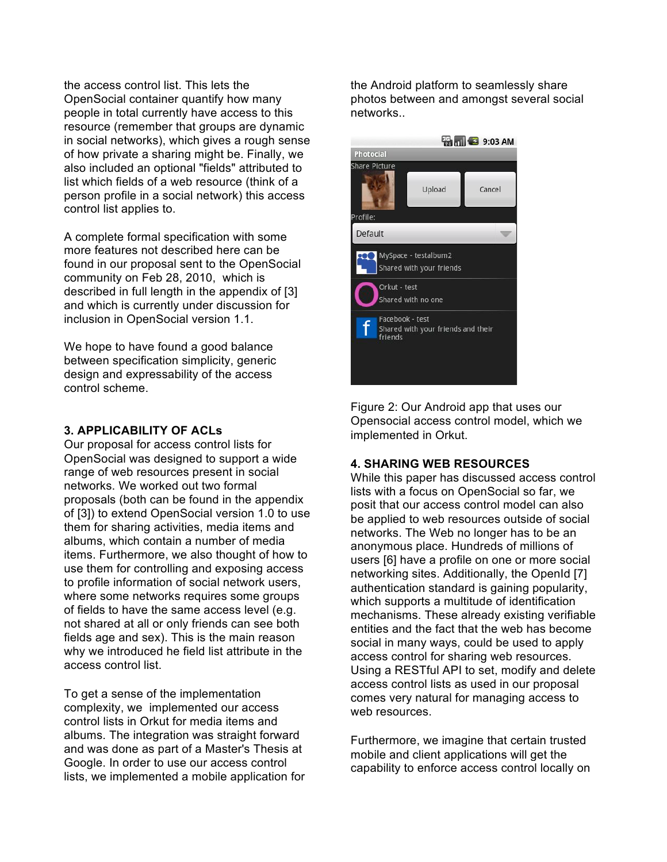the access control list. This lets the OpenSocial container quantify how many people in total currently have access to this resource (remember that groups are dynamic in social networks), which gives a rough sense of how private a sharing might be. Finally, we also included an optional "fields" attributed to list which fields of a web resource (think of a person profile in a social network) this access control list applies to.

A complete formal specification with some more features not described here can be found in our proposal sent to the OpenSocial community on Feb 28, 2010, which is described in full length in the appendix of [3] and which is currently under discussion for inclusion in OpenSocial version 1.1.

We hope to have found a good balance between specification simplicity, generic design and expressability of the access control scheme.

#### **3. APPLICABILITY OF ACLs**

Our proposal for access control lists for OpenSocial was designed to support a wide range of web resources present in social networks. We worked out two formal proposals (both can be found in the appendix of [3]) to extend OpenSocial version 1.0 to use them for sharing activities, media items and albums, which contain a number of media items. Furthermore, we also thought of how to use them for controlling and exposing access to profile information of social network users, where some networks requires some groups of fields to have the same access level (e.g. not shared at all or only friends can see both fields age and sex). This is the main reason why we introduced he field list attribute in the access control list.

To get a sense of the implementation complexity, we implemented our access control lists in Orkut for media items and albums. The integration was straight forward and was done as part of a Master's Thesis at Google. In order to use our access control lists, we implemented a mobile application for the Android platform to seamlessly share photos between and amongst several social networks..



Figure 2: Our Android app that uses our Opensocial access control model, which we implemented in Orkut.

### **4. SHARING WEB RESOURCES**

While this paper has discussed access control lists with a focus on OpenSocial so far, we posit that our access control model can also be applied to web resources outside of social networks. The Web no longer has to be an anonymous place. Hundreds of millions of users [6] have a profile on one or more social networking sites. Additionally, the OpenId [7] authentication standard is gaining popularity, which supports a multitude of identification mechanisms. These already existing verifiable entities and the fact that the web has become social in many ways, could be used to apply access control for sharing web resources. Using a RESTful API to set, modify and delete access control lists as used in our proposal comes very natural for managing access to web resources.

Furthermore, we imagine that certain trusted mobile and client applications will get the capability to enforce access control locally on